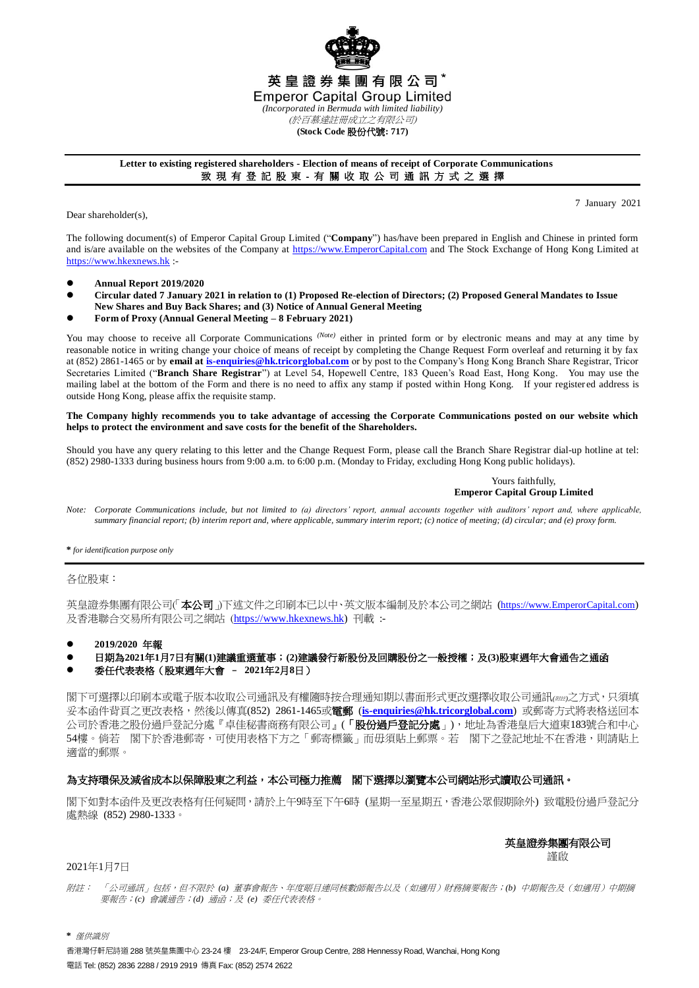

## **Letter to existing registered shareholders - Election of means of receipt of Corporate Communications** 致 現 有 登 記 股 東 - 有 關 收 取 公 司 通 訊 方 式 之 選 擇

Dear shareholder(s),

7 January 2021

The following document(s) of Emperor Capital Group Limited ("**Company**") has/have been prepared in English and Chinese in printed form and is/are available on the websites of the Company at [https://www.EmperorCapital.com](https://www.emperorcapital.com/) and The Stock Exchange of Hong Kong Limited at [https://www.hkexnews.hk](https://www.hkexnews.hk/) :-

- **Annual Report 2019/2020**
- **Circular dated 7 January 2021 in relation to (1) Proposed Re-election of Directors; (2) Proposed General Mandates to Issue New Shares and Buy Back Shares; and (3) Notice of Annual General Meeting**
- **Form of Proxy (Annual General Meeting – 8 February 2021)**

You may choose to receive all Corporate Communications <sup>(Note)</sup> either in printed form or by electronic means and may at any time by reasonable notice in writing change your choice of means of receipt by completing the Change Request Form overleaf and returning it by fax at (852) 2861-1465 or by **email a[t is-enquiries@hk.tricorglobal.com](mailto:is-enquiries@hk.tricorglobal.com)** or by post to the Company's Hong Kong Branch Share Registrar, Tricor Secretaries Limited ("**Branch Share Registrar**") at Level 54, Hopewell Centre, 183 Queen's Road East, Hong Kong. You may use the mailing label at the bottom of the Form and there is no need to affix any stamp if posted within Hong Kong. If your register ed address is outside Hong Kong, please affix the requisite stamp.

## **The Company highly recommends you to take advantage of accessing the Corporate Communications posted on our website which helps to protect the environment and save costs for the benefit of the Shareholders.**

Should you have any query relating to this letter and the Change Request Form, please call the Branch Share Registrar dial-up hotline at tel: (852) 2980-1333 during business hours from 9:00 a.m. to 6:00 p.m. (Monday to Friday, excluding Hong Kong public holidays).

> Yours faithfully, **Emperor Capital Group Limited**

*Note: Corporate Communications include, but not limited to (a) directors' report, annual accounts together with auditors' report and, where applicable, summary financial report; (b) interim report and, where applicable, summary interim report; (c) notice of meeting; (d) circular; and (e) proxy form.*

**\*** *for identification purpose only*

各位股東:

英皇證券集團有限公司(本公司 )下述文件之印刷本已以中、英文版本編制及於本公司之網站 (https://www.EmperorCapital.com) 及香港聯合交易所有限公司之網站 ([https://www.hkexnews.hk\)](https://www.hkexnews.hk/) 刊載 :-

**2019/2020** 年報

日期為**2021**年**1**月**7**日有關**(1)**建議重選董事;**(2)**建議發行新股份及回購股份之一般授權;及**(3)**股東週年大會通告之通函

## 委任代表表格(股東週年大會 – **2021**年**2**月**8**日)

閣下可選擇以印刷本或電子版本收取公司通訊及有權隨時按合理通知期以書面形式更改選擇收取公司通訊*(*附註*)*之方式,只須填 妥本函件背頁之更改表格,然後以傳真(852) 2861-1465或電郵 (**[is-enquiries@hk.tricorglobal.com](mailto:is-enquiries@hk.tricorglobal.com)**) 或郵寄方式將表格送回本 公司於香港之股份過戶登記分處『卓佳秘書商務有限公司』(「股份過戶登記分處」),地址為香港皇后大道東183號合和中心 54樓。倘若 閣下於香港郵寄,可使用表格下方之「郵寄標籤」而毋須貼上郵票。若 閣下之登記地址不在香港,則請貼上 適當的郵票。

## 為支持環保及減省成本以保障股東之利益,本公司極力推薦 閣下選擇以瀏覽本公司網站形式讀取公司通訊。

閣下如對本函件及更改表格有任何疑問,請於上午9時至下午6時 (星期一至星期五,香港公眾假期除外) 致電股份過戶登記分 處熱線 (852) 2980-1333。

> 英皇證券集團有限公司 謹啟

2021年1月7日

附註: 「公司通訊」包括,但不限於 *(a)* 董事會報告、年度賬目連同核數師報告以及(如適用)財務摘要報告;*(b)* 中期報告及(如適用)中期摘 要報告;*(c)* 會議通告;*(d)* 通函;及 *(e)* 委任代表表格。

**\*** 僅供識別